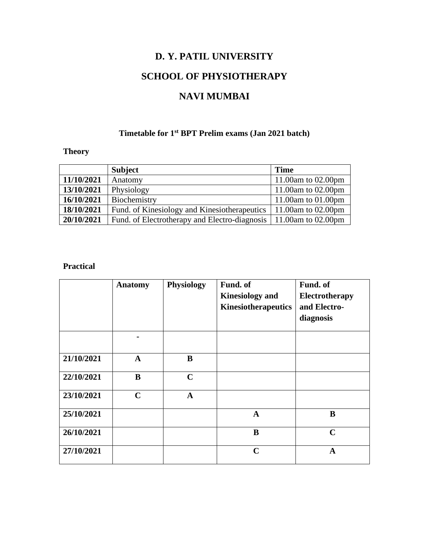## **D. Y. PATIL UNIVERSITY**

## **SCHOOL OF PHYSIOTHERAPY**

#### **NAVI MUMBAI**

#### **Timetable for 1st BPT Prelim exams (Jan 2021 batch)**

## **Theory**

|            | <b>Subject</b>                                                     | <b>Time</b>           |
|------------|--------------------------------------------------------------------|-----------------------|
| 11/10/2021 | Anatomy                                                            | 11.00am to $02.00$ pm |
| 13/10/2021 | Physiology                                                         | 11.00am to 02.00pm    |
| 16/10/2021 | Biochemistry                                                       | 11.00am to $01.00$ pm |
| 18/10/2021 | Fund. of Kinesiology and Kinesiotherapeutics                       | 11.00am to 02.00pm    |
| 20/10/2021 | Fund. of Electrotherapy and Electro-diagnosis   11.00am to 02.00pm |                       |

#### **Practical**

|            | <b>Anatomy</b> | Physiology   | Fund. of<br><b>Kinesiology</b> and<br>Kinesiotherapeutics | Fund. of<br>Electrotherapy<br>and Electro-<br>diagnosis |
|------------|----------------|--------------|-----------------------------------------------------------|---------------------------------------------------------|
|            |                |              |                                                           |                                                         |
| 21/10/2021 | $\mathbf{A}$   | B            |                                                           |                                                         |
| 22/10/2021 | B              | $\mathbf C$  |                                                           |                                                         |
| 23/10/2021 | $\mathbf C$    | $\mathbf{A}$ |                                                           |                                                         |
| 25/10/2021 |                |              | $\mathbf{A}$                                              | B                                                       |
| 26/10/2021 |                |              | B                                                         | $\mathbf C$                                             |
| 27/10/2021 |                |              | $\mathbf C$                                               | $\mathbf A$                                             |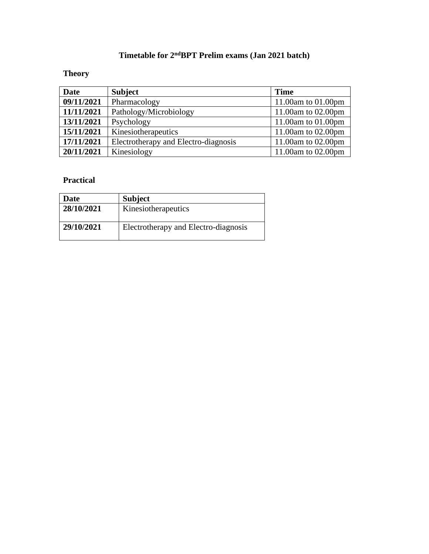## **Timetable for 2ndBPT Prelim exams (Jan 2021 batch)**

## **Theory**

| <b>Date</b> | <b>Subject</b>                       | <b>Time</b>        |
|-------------|--------------------------------------|--------------------|
| 09/11/2021  | Pharmacology                         | 11.00am to 01.00pm |
| 11/11/2021  | Pathology/Microbiology               | 11.00am to 02.00pm |
| 13/11/2021  | Psychology                           | 11.00am to 01.00pm |
| 15/11/2021  | Kinesiotherapeutics                  | 11.00am to 02.00pm |
| 17/11/2021  | Electrotherapy and Electro-diagnosis | 11.00am to 02.00pm |
| 20/11/2021  | Kinesiology                          | 11.00am to 02.00pm |

#### **Practical**

| <b>Date</b> | <b>Subject</b>                       |
|-------------|--------------------------------------|
| 28/10/2021  | Kinesiotherapeutics                  |
| 29/10/2021  | Electrotherapy and Electro-diagnosis |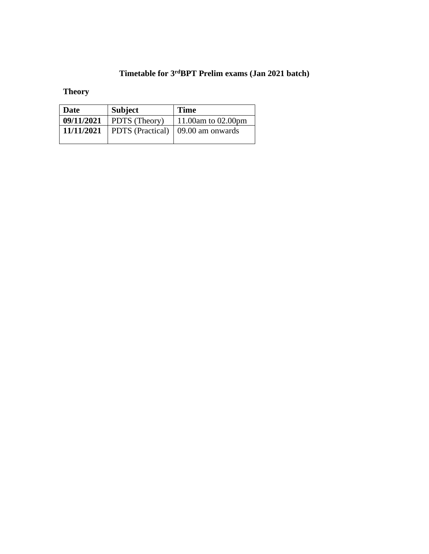## **Timetable for 3rdBPT Prelim exams (Jan 2021 batch)**

## **Theory**

| Date       | Subject          | <b>Time</b>              |  |
|------------|------------------|--------------------------|--|
| 09/11/2021 | PDTS (Theory)    | 11.00am to 02.00pm       |  |
| 11/11/2021 | PDTS (Practical) | $\vert$ 09.00 am onwards |  |
|            |                  |                          |  |